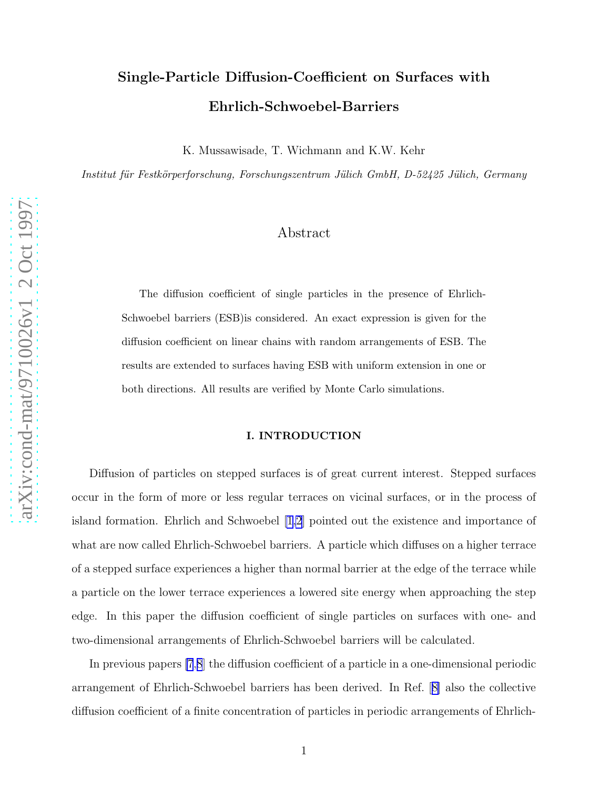# Single-Particle Diffusion-Coefficient on Surfaces with Ehrlich-Schwoebel-Barriers

K. Mussawisade, T. Wichmann and K.W. Kehr

Institut für Festkörperforschung, Forschungszentrum Jülich GmbH, D-52425 Jülich, Germany

## Abstract

The diffusion coefficient of single particles in the presence of Ehrlich-Schwoebel barriers (ESB)is considered. An exact expression is given for the diffusion coefficient on linear chains with random arrangements of ESB. The results are extended to surfaces having ESB with uniform extension in one or both directions. All results are verified by Monte Carlo simulations.

#### I. INTRODUCTION

Diffusion of particles on stepped surfaces is of great current interest. Stepped surfaces occur in the form of more or less regular terraces on vicinal surfaces, or in the process of island formation. Ehrlich and Schwoebel [\[1,2](#page-6-0)] pointed out the existence and importance of what are now called Ehrlich-Schwoebel barriers. A particle which diffuses on a higher terrace of a stepped surface experiences a higher than normal barrier at the edge of the terrace while a particle on the lower terrace experiences a lowered site energy when approaching the step edge. In this paper the diffusion coefficient of single particles on surfaces with one- and two-dimensional arrangements of Ehrlich-Schwoebel barriers will be calculated.

In previous papers [\[7](#page-6-0),[8](#page-6-0)] the diffusion coefficient of a particle in a one-dimensional periodic arrangement of Ehrlich-Schwoebel barriers has been derived. In Ref.[[8\]](#page-6-0) also the collective diffusion coefficient of a finite concentration of particles in periodic arrangements of Ehrlich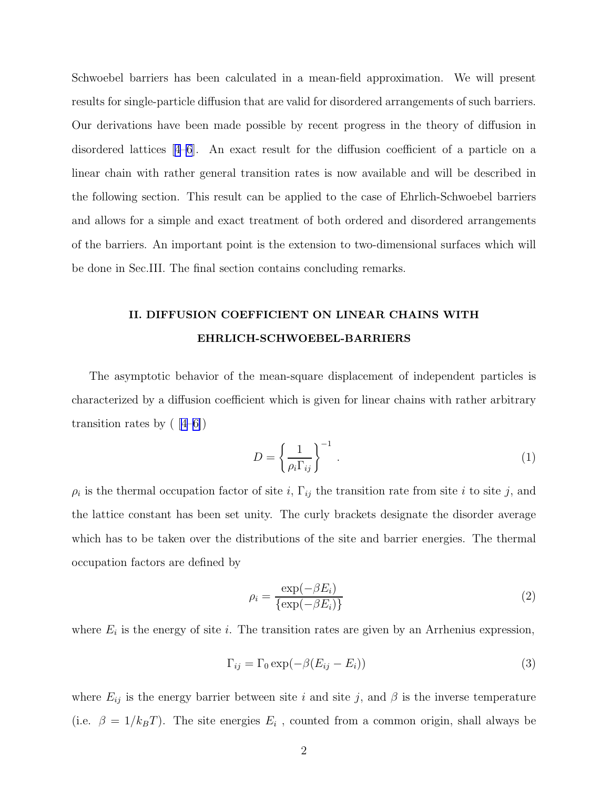<span id="page-1-0"></span>Schwoebel barriers has been calculated in a mean-field approximation. We will present results for single-particle diffusion that are valid for disordered arrangements of such barriers. Our derivations have been made possible by recent progress in the theory of diffusion in disordered lattices[[4–6](#page-6-0)]. An exact result for the diffusion coefficient of a particle on a linear chain with rather general transition rates is now available and will be described in the following section. This result can be applied to the case of Ehrlich-Schwoebel barriers and allows for a simple and exact treatment of both ordered and disordered arrangements of the barriers. An important point is the extension to two-dimensional surfaces which will be done in Sec.III. The final section contains concluding remarks.

## II. DIFFUSION COEFFICIENT ON LINEAR CHAINS WITH EHRLICH-SCHWOEBEL-BARRIERS

The asymptotic behavior of the mean-square displacement of independent particles is characterized by a diffusion coefficient which is given for linear chains with rather arbitrary transition rates by  $(4-6)$ 

$$
D = \left\{ \frac{1}{\rho_i \Gamma_{ij}} \right\}^{-1} \tag{1}
$$

 $\rho_i$  is the thermal occupation factor of site i,  $\Gamma_{ij}$  the transition rate from site i to site j, and the lattice constant has been set unity. The curly brackets designate the disorder average which has to be taken over the distributions of the site and barrier energies. The thermal occupation factors are defined by

$$
\rho_i = \frac{\exp(-\beta E_i)}{\{\exp(-\beta E_i)\}}
$$
\n(2)

where  $E_i$  is the energy of site i. The transition rates are given by an Arrhenius expression,

$$
\Gamma_{ij} = \Gamma_0 \exp(-\beta (E_{ij} - E_i))
$$
\n(3)

where  $E_{ij}$  is the energy barrier between site i and site j, and  $\beta$  is the inverse temperature (i.e.  $\beta = 1/k_B T$ ). The site energies  $E_i$ , counted from a common origin, shall always be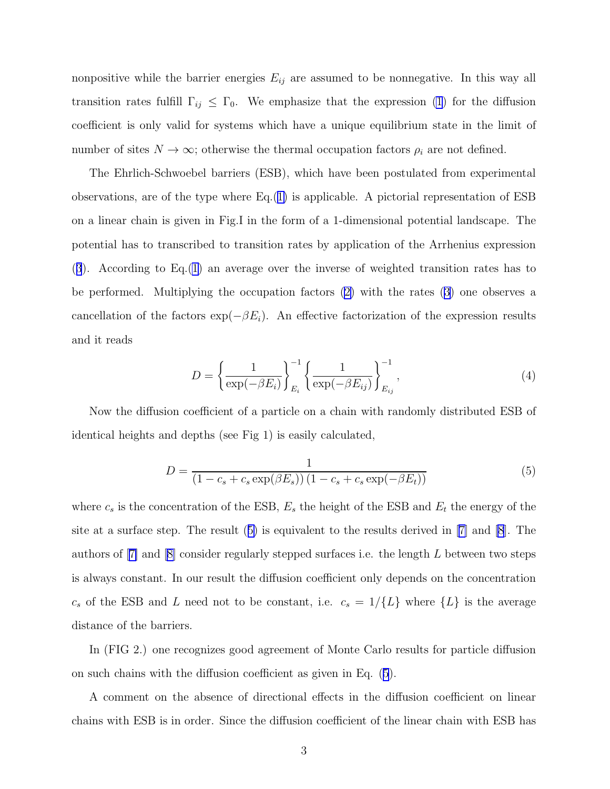<span id="page-2-0"></span>nonpositive while the barrier energies  $E_{ij}$  are assumed to be nonnegative. In this way all transition rates fulfill  $\Gamma_{ij} \leq \Gamma_0$ . We emphasize that the expression [\(1](#page-1-0)) for the diffusion coefficient is only valid for systems which have a unique equilibrium state in the limit of number of sites  $N \to \infty$ ; otherwise the thermal occupation factors  $\rho_i$  are not defined.

The Ehrlich-Schwoebel barriers (ESB), which have been postulated from experimental observations, are of the type where  $Eq.(1)$  $Eq.(1)$  is applicable. A pictorial representation of ESB on a linear chain is given in Fig.I in the form of a 1-dimensional potential landscape. The potential has to transcribed to transition rates by application of the Arrhenius expression ([3](#page-1-0)). According to Eq.[\(1\)](#page-1-0) an average over the inverse of weighted transition rates has to be performed. Multiplying the occupation factors([2\)](#page-1-0) with the rates [\(3\)](#page-1-0) one observes a cancellation of the factors  $\exp(-\beta E_i)$ . An effective factorization of the expression results and it reads

$$
D = \left\{ \frac{1}{\exp(-\beta E_i)} \right\}_{E_i}^{-1} \left\{ \frac{1}{\exp(-\beta E_{ij})} \right\}_{E_{ij}}^{-1},
$$
\n(4)

Now the diffusion coefficient of a particle on a chain with randomly distributed ESB of identical heights and depths (see Fig 1) is easily calculated,

$$
D = \frac{1}{(1 - c_s + c_s \exp(\beta E_s)) (1 - c_s + c_s \exp(-\beta E_t))}
$$
(5)

where  $c_s$  is the concentration of the ESB,  $E_s$  the height of the ESB and  $E_t$  the energy of the site at a surface step. The result (5) is equivalent to the results derived in[[7\]](#page-6-0) and [\[8](#page-6-0)]. The authorsof  $[7]$  $[7]$  and  $[8]$  $[8]$  consider regularly stepped surfaces i.e. the length L between two steps is always constant. In our result the diffusion coefficient only depends on the concentration  $c_s$  of the ESB and L need not to be constant, i.e.  $c_s = 1/\{L\}$  where  $\{L\}$  is the average distance of the barriers.

In (FIG 2.) one recognizes good agreement of Monte Carlo results for particle diffusion on such chains with the diffusion coefficient as given in Eq. (5).

A comment on the absence of directional effects in the diffusion coefficient on linear chains with ESB is in order. Since the diffusion coefficient of the linear chain with ESB has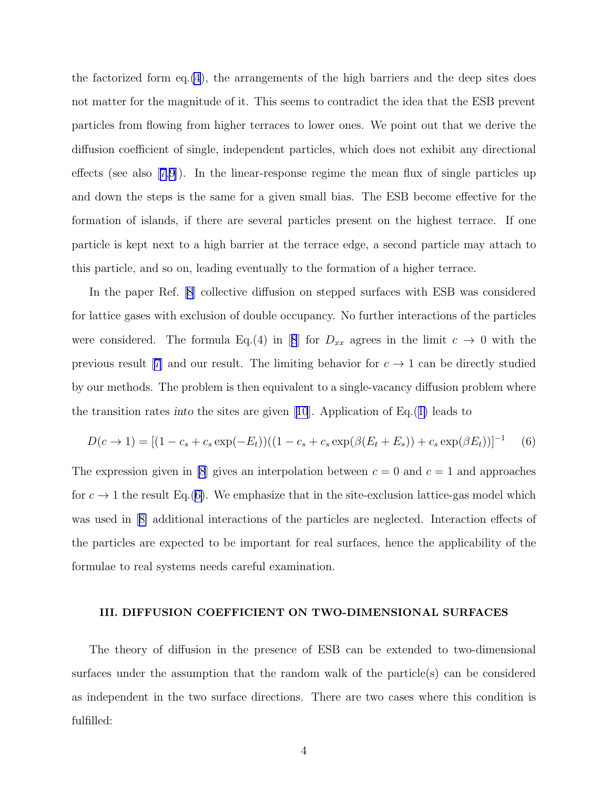the factorized form eq.[\(4](#page-2-0)), the arrangements of the high barriers and the deep sites does not matter for the magnitude of it. This seems to contradict the idea that the ESB prevent particles from flowing from higher terraces to lower ones. We point out that we derive the diffusion coefficient of single, independent particles, which does not exhibit any directional effects(see also  $(7,9)$ ). In the linear-response regime the mean flux of single particles up and down the steps is the same for a given small bias. The ESB become effective for the formation of islands, if there are several particles present on the highest terrace. If one particle is kept next to a high barrier at the terrace edge, a second particle may attach to this particle, and so on, leading eventually to the formation of a higher terrace.

In the paper Ref.[[8\]](#page-6-0) collective diffusion on stepped surfaces with ESB was considered for lattice gases with exclusion of double occupancy. No further interactions of the particles wereconsidered. The formula Eq.(4) in [[8](#page-6-0)] for  $D_{xx}$  agrees in the limit  $c \rightarrow 0$  with the previous result [\[7\]](#page-6-0) and our result. The limiting behavior for  $c \to 1$  can be directly studied by our methods. The problem is then equivalent to a single-vacancy diffusion problem where thetransition rates into the sites are given  $[10]$  $[10]$  $[10]$ . Application of Eq.([1\)](#page-1-0) leads to

$$
D(c \to 1) = [(1 - c_s + c_s \exp(-E_t))((1 - c_s + c_s \exp(\beta(E_t + E_s)) + c_s \exp(\beta E_t))]^{-1}
$$
 (6)

The expression given in [\[8](#page-6-0)] gives an interpolation between  $c = 0$  and  $c = 1$  and approaches for  $c \to 1$  the result Eq.(6). We emphasize that in the site-exclusion lattice-gas model which was used in[[8\]](#page-6-0) additional interactions of the particles are neglected. Interaction effects of the particles are expected to be important for real surfaces, hence the applicability of the formulae to real systems needs careful examination.

#### III. DIFFUSION COEFFICIENT ON TWO-DIMENSIONAL SURFACES

The theory of diffusion in the presence of ESB can be extended to two-dimensional surfaces under the assumption that the random walk of the particle(s) can be considered as independent in the two surface directions. There are two cases where this condition is fulfilled: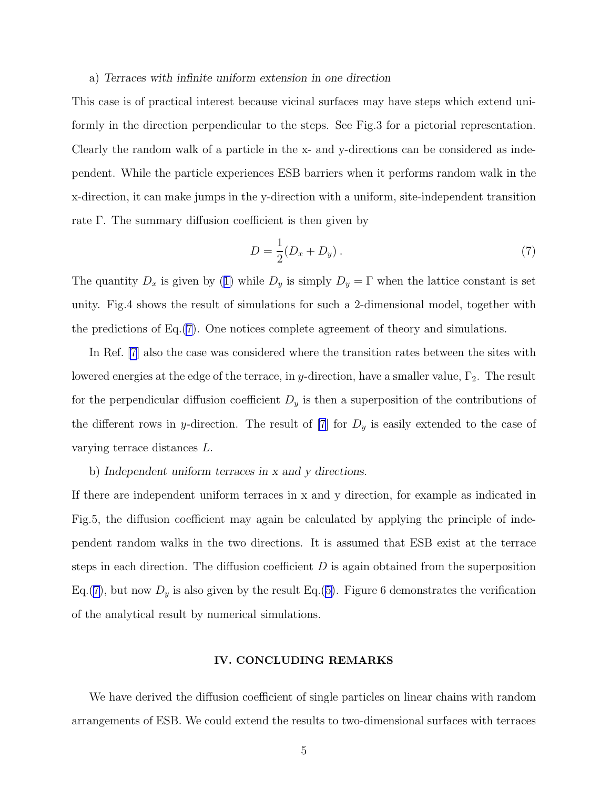#### a) Terraces with infinite uniform extension in one direction

This case is of practical interest because vicinal surfaces may have steps which extend uniformly in the direction perpendicular to the steps. See Fig.3 for a pictorial representation. Clearly the random walk of a particle in the x- and y-directions can be considered as independent. While the particle experiences ESB barriers when it performs random walk in the x-direction, it can make jumps in the y-direction with a uniform, site-independent transition rate Γ. The summary diffusion coefficient is then given by

$$
D = \frac{1}{2}(D_x + D_y).
$$
 (7)

Thequantity  $D_x$  is given by ([1\)](#page-1-0) while  $D_y$  is simply  $D_y = \Gamma$  when the lattice constant is set unity. Fig.4 shows the result of simulations for such a 2-dimensional model, together with the predictions of Eq.(7). One notices complete agreement of theory and simulations.

In Ref. [\[7](#page-6-0)] also the case was considered where the transition rates between the sites with lowered energies at the edge of the terrace, in y-direction, have a smaller value,  $\Gamma_2$ . The result for the perpendicular diffusion coefficient  $D<sub>y</sub>$  is then a superposition of the contributions of the different rows in y-direction. The result of  $[7]$  for  $D<sub>y</sub>$  is easily extended to the case of varying terrace distances L.

#### b) Independent uniform terraces in x and y directions.

If there are independent uniform terraces in x and y direction, for example as indicated in Fig.5, the diffusion coefficient may again be calculated by applying the principle of independent random walks in the two directions. It is assumed that ESB exist at the terrace steps in each direction. The diffusion coefficient  $D$  is again obtained from the superposition Eq.(7), but now  $D_y$  is also given by the result Eq.([5\)](#page-2-0). Figure 6 demonstrates the verification of the analytical result by numerical simulations.

#### IV. CONCLUDING REMARKS

We have derived the diffusion coefficient of single particles on linear chains with random arrangements of ESB. We could extend the results to two-dimensional surfaces with terraces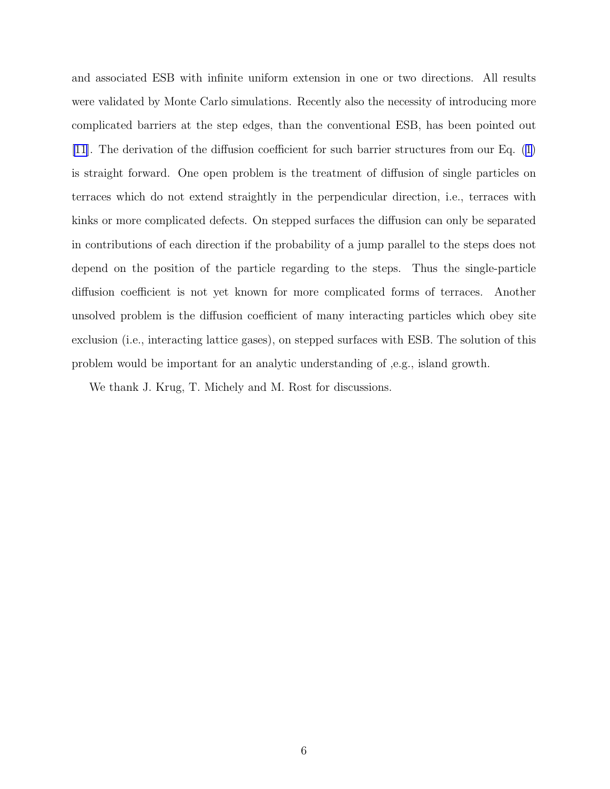and associated ESB with infinite uniform extension in one or two directions. All results were validated by Monte Carlo simulations. Recently also the necessity of introducing more complicated barriers at the step edges, than the conventional ESB, has been pointed out [\[11\]](#page-6-0). The derivation of the diffusion coefficient for such barrier structures from our Eq.([1\)](#page-1-0) is straight forward. One open problem is the treatment of diffusion of single particles on terraces which do not extend straightly in the perpendicular direction, i.e., terraces with kinks or more complicated defects. On stepped surfaces the diffusion can only be separated in contributions of each direction if the probability of a jump parallel to the steps does not depend on the position of the particle regarding to the steps. Thus the single-particle diffusion coefficient is not yet known for more complicated forms of terraces. Another unsolved problem is the diffusion coefficient of many interacting particles which obey site exclusion (i.e., interacting lattice gases), on stepped surfaces with ESB. The solution of this problem would be important for an analytic understanding of ,e.g., island growth.

We thank J. Krug, T. Michely and M. Rost for discussions.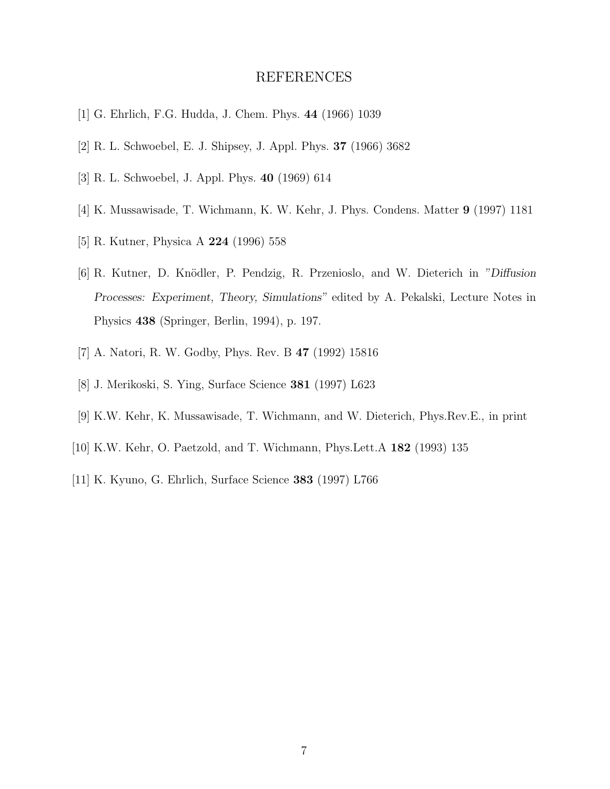## REFERENCES

- <span id="page-6-0"></span>[1] G. Ehrlich, F.G. Hudda, J. Chem. Phys. 44 (1966) 1039
- [2] R. L. Schwoebel, E. J. Shipsey, J. Appl. Phys. 37 (1966) 3682
- [3] R. L. Schwoebel, J. Appl. Phys. 40 (1969) 614
- [4] K. Mussawisade, T. Wichmann, K. W. Kehr, J. Phys. Condens. Matter 9 (1997) 1181
- [5] R. Kutner, Physica A 224 (1996) 558
- [6] R. Kutner, D. Knödler, P. Pendzig, R. Przenioslo, and W. Dieterich in "Diffusion Processes: Experiment, Theory, Simulations" edited by A. Pekalski, Lecture Notes in Physics 438 (Springer, Berlin, 1994), p. 197.
- [7] A. Natori, R. W. Godby, Phys. Rev. B 47 (1992) 15816
- [8] J. Merikoski, S. Ying, Surface Science 381 (1997) L623
- [9] K.W. Kehr, K. Mussawisade, T. Wichmann, and W. Dieterich, Phys.Rev.E., in print
- [10] K.W. Kehr, O. Paetzold, and T. Wichmann, Phys.Lett.A 182 (1993) 135
- [11] K. Kyuno, G. Ehrlich, Surface Science 383 (1997) L766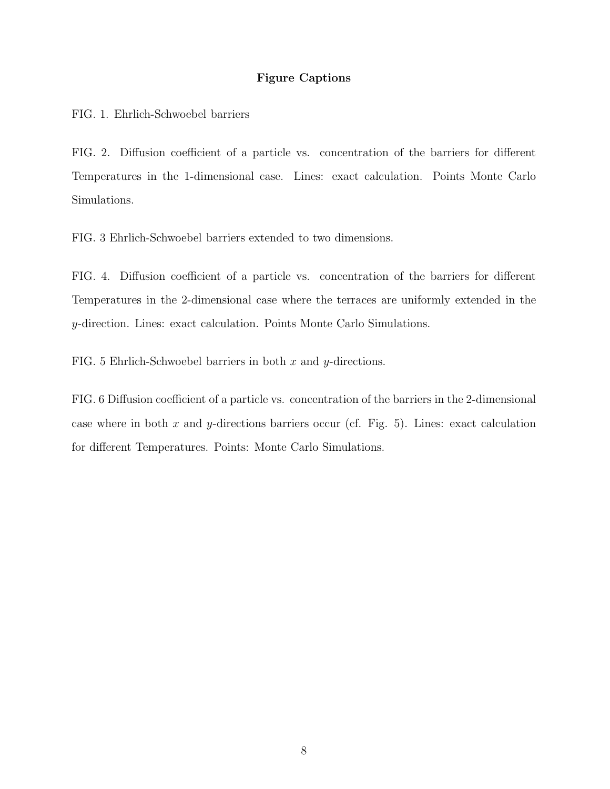### Figure Captions

FIG. 1. Ehrlich-Schwoebel barriers

FIG. 2. Diffusion coefficient of a particle vs. concentration of the barriers for different Temperatures in the 1-dimensional case. Lines: exact calculation. Points Monte Carlo Simulations.

FIG. 3 Ehrlich-Schwoebel barriers extended to two dimensions.

FIG. 4. Diffusion coefficient of a particle vs. concentration of the barriers for different Temperatures in the 2-dimensional case where the terraces are uniformly extended in the y-direction. Lines: exact calculation. Points Monte Carlo Simulations.

FIG. 5 Ehrlich-Schwoebel barriers in both  $x$  and  $y$ -directions.

FIG. 6 Diffusion coefficient of a particle vs. concentration of the barriers in the 2-dimensional case where in both x and y-directions barriers occur (cf. Fig. 5). Lines: exact calculation for different Temperatures. Points: Monte Carlo Simulations.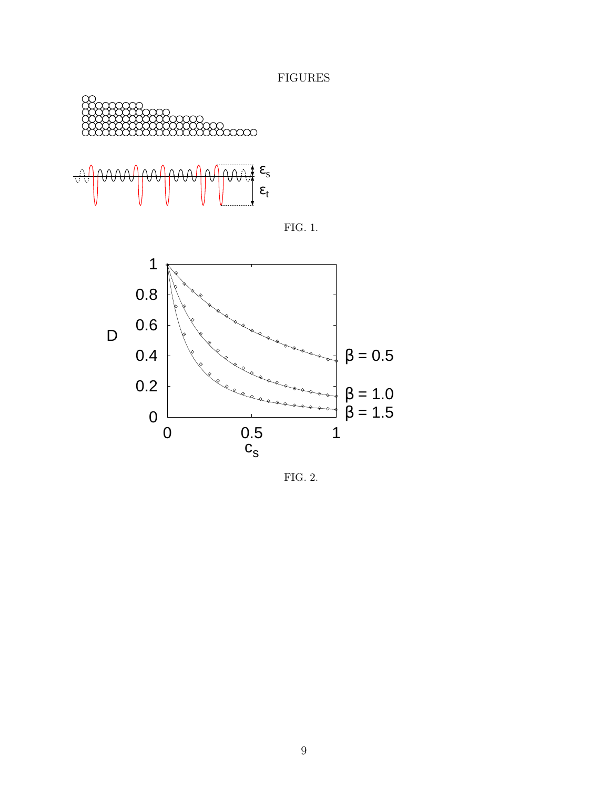FIGURES







FIG. 2.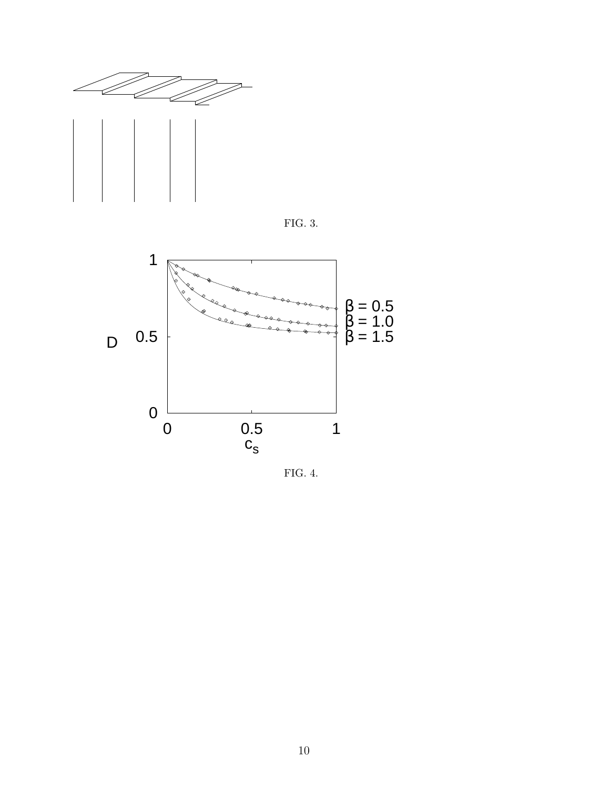





FIG. 4.